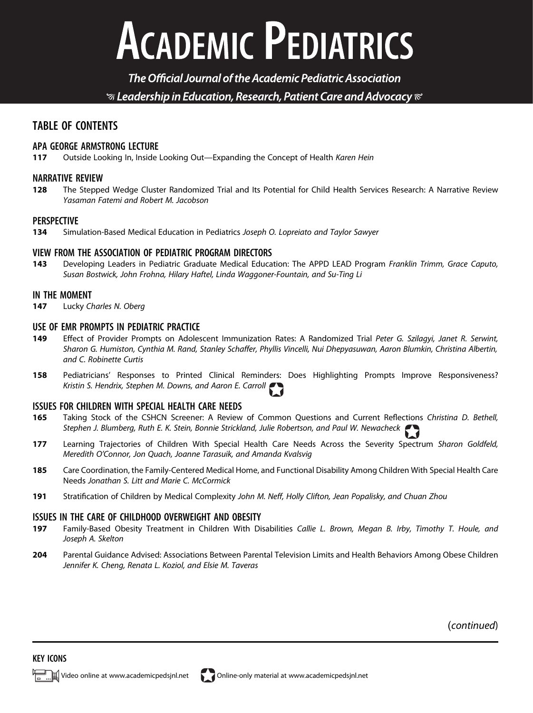# **ACADEMIC PEDIATRICS**

The Official Journal of the Academic Pediatric Association  $\mathcal G$  Leadership in Education, Research, Patient Care and Advocacy  $\mathcal C$ 

### TABLE OF CONTENTS

#### APA GEORGE ARMSTRONG LECTURE

117 Outside Looking In, Inside Looking Out—Expanding the Concept of Health Karen Hein

#### NARRATIVE REVIEW

128 The Stepped Wedge Cluster Randomized Trial and Its Potential for Child Health Services Research: A Narrative Review Yasaman Fatemi and Robert M. Jacobson

#### PERSPECTIVE

134 Simulation-Based Medical Education in Pediatrics Joseph O. Lopreiato and Taylor Sawyer

#### VIEW FROM THE ASSOCIATION OF PEDIATRIC PROGRAM DIRECTORS

143 Developing Leaders in Pediatric Graduate Medical Education: The APPD LEAD Program Franklin Trimm, Grace Caputo, Susan Bostwick, John Frohna, Hilary Haftel, Linda Waggoner-Fountain, and Su-Ting Li

#### IN THE MOMENT

147 Lucky Charles N. Oberg

#### USE OF EMR PROMPTS IN PEDIATRIC PRACTICE

- 149 Effect of Provider Prompts on Adolescent Immunization Rates: A Randomized Trial Peter G. Szilagyi, Janet R. Serwint, Sharon G. Humiston, Cynthia M. Rand, Stanley Schaffer, Phyllis Vincelli, Nui Dhepyasuwan, Aaron Blumkin, Christina Albertin, and C. Robinette Curtis
- 158 Pediatricians' Responses to Printed Clinical Reminders: Does Highlighting Prompts Improve Responsiveness? Kristin S. Hendrix, Stephen M. Downs, and Aaron E. Carroll

#### ISSUES FOR CHILDREN WITH SPECIAL HEALTH CARE NEEDS

- 165 Taking Stock of the CSHCN Screener: A Review of Common Questions and Current Reflections Christina D. Bethell, Stephen J. Blumberg, Ruth E. K. Stein, Bonnie Strickland, Julie Robertson, and Paul W. Newacheck
- 177 Learning Trajectories of Children With Special Health Care Needs Across the Severity Spectrum Sharon Goldfeld, Meredith O'Connor, Jon Quach, Joanne Tarasuik, and Amanda Kvalsvig
- 185 Care Coordination, the Family-Centered Medical Home, and Functional Disability Among Children With Special Health Care Needs Jonathan S. Litt and Marie C. McCormick
- 191 Stratification of Children by Medical Complexity John M. Neff, Holly Clifton, Jean Popalisky, and Chuan Zhou

#### ISSUES IN THE CARE OF CHILDHOOD OVERWEIGHT AND OBESITY

- 197 Family-Based Obesity Treatment in Children With Disabilities Callie L. Brown, Megan B. Irby, Timothy T. Houle, and Joseph A. Skelton
- 204 Parental Guidance Advised: Associations Between Parental Television Limits and Health Behaviors Among Obese Children Jennifer K. Cheng, Renata L. Koziol, and Elsie M. Taveras

(continued)